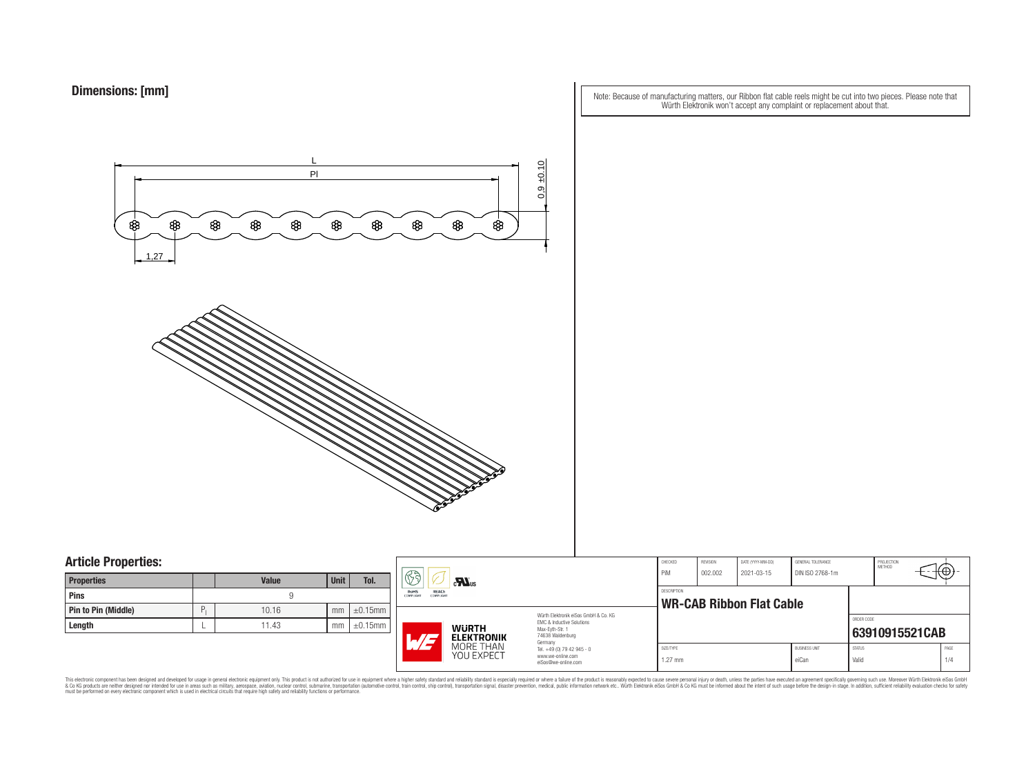Note: Because of manufacturing matters, our Ribbon flat cable reels might be cut into two pieces. Please note that Würth Elektronik won't accept any complaint or replacement about that.



### **Article Properties:**

| <b>Properties</b>   |   | <b>Value</b> | <b>Unit</b> | Tol.          |
|---------------------|---|--------------|-------------|---------------|
| <b>Pins</b>         |   |              |             |               |
| Pin to Pin (Middle) | P | 10.16        | mm          | $\pm 0.15$ mm |
| Length              |   | 11.43        | mm          | $\pm 0.15$ mm |

|    | H<br>$\mathbf{r}$                                            |                                                                                   | CHECKED<br>PiM                                                                                                      | REVISION<br>002.002                            | DATE (YYYY-MM-DD)<br>2021-03-15 | GENERAL TOLERANCE<br>DIN ISO 2768-1m |                        | PROJECTION<br><b>METHOD</b> | Ή⊕.            |  |
|----|--------------------------------------------------------------|-----------------------------------------------------------------------------------|---------------------------------------------------------------------------------------------------------------------|------------------------------------------------|---------------------------------|--------------------------------------|------------------------|-----------------------------|----------------|--|
| mm | <b>REACh</b><br>RoHS<br><b>COMPLIANT</b><br><b>COMPLIANT</b> |                                                                                   |                                                                                                                     | DESCRIPTION<br><b>WR-CAB Ribbon Flat Cable</b> |                                 |                                      |                        |                             |                |  |
| mm | L/E                                                          | <b>WURTH</b><br><b>ELEKTRONIK</b>                                                 | Würth Elektronik eiSos GmbH & Co. KG<br><b>FMC &amp; Inductive Solutions</b><br>Max-Eyth-Str. 1<br>74638 Waldenburg |                                                |                                 |                                      |                        | ORDER CODE                  | 63910915521CAB |  |
|    | MORE THAN<br>YOU EXPECT                                      | Germany<br>Tel. +49 (0) 79 42 945 - 0<br>www.we-online.com<br>eiSos@we-online.com | SIZE/TYPE<br>$1.27$ mm                                                                                              |                                                |                                 | <b>BUSINESS UNIT</b><br>eiCan        | <b>STATUS</b><br>Valid |                             | PAGE<br>1/4    |  |

This electronic component has been designed and developed for usage in general electronic equipment only. This product is not authorized for subserved requipment where a higher selection equipment where a higher selection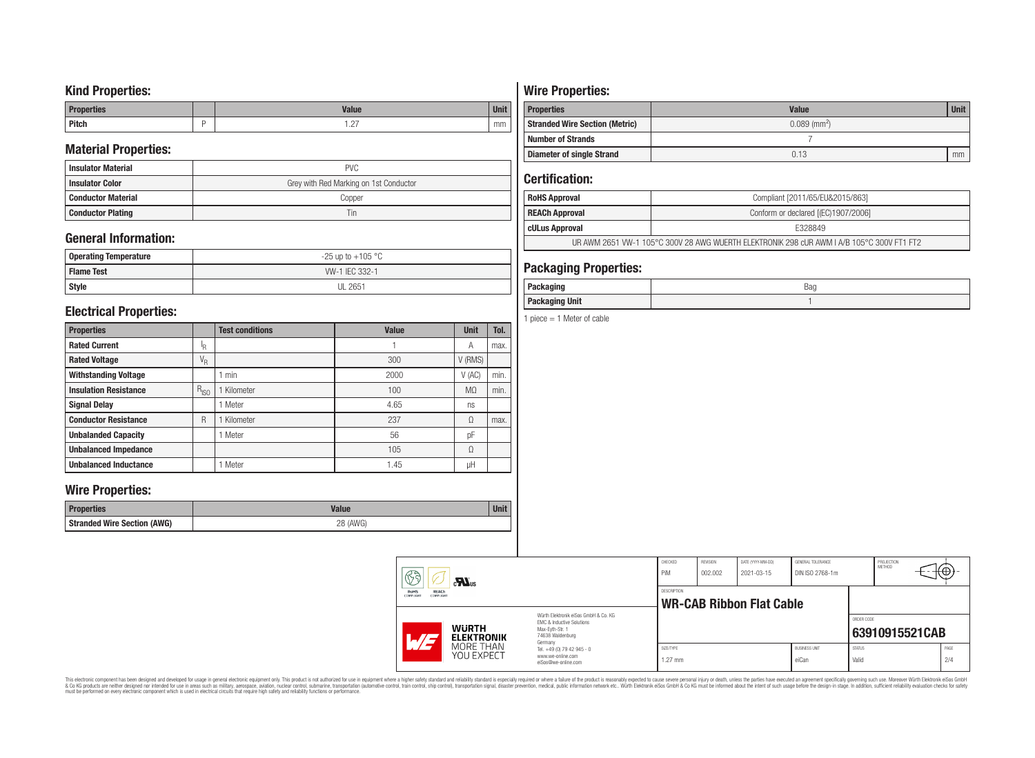## **Kind Properties:**

| <b>Properties</b> | <b>Value</b>                     | $11 - 14$<br>vm |
|-------------------|----------------------------------|-----------------|
| <b>Pitch</b>      | $\sim$<br>$\cdot$ $\sim$ $\cdot$ | mm              |

## **Material Properties:**

| <b>Insulator Material</b> | <b>PVC</b>                             |
|---------------------------|----------------------------------------|
| <b>Insulator Color</b>    | Grey with Red Marking on 1st Conductor |
| <b>Conductor Material</b> | Copper                                 |
| <b>Conductor Plating</b>  | Tin                                    |

## **General Information:**

| <b>Operating Temperature</b> | $-25$ up to $+105$ °C |
|------------------------------|-----------------------|
| <b>I Flame Test</b>          | WV-1 IEC 332-1        |
| Style                        | <b>UL 2651</b>        |

## **Electrical Properties:**

| <b>Properties</b>            |           | <b>Test conditions</b> | <b>Value</b> | <b>Unit</b>    | Tol. |
|------------------------------|-----------|------------------------|--------------|----------------|------|
| <b>Rated Current</b>         | ΙR        |                        |              | А              | max. |
| <b>Rated Voltage</b>         | $V_R$     |                        | 300          | V (RMS)        |      |
| <b>Withstanding Voltage</b>  |           | min                    | 2000         | $V$ (AC)       | min. |
| <b>Insulation Resistance</b> | $R_{ISO}$ | Kilometer              | 100          | M <sub>2</sub> | min. |
| <b>Signal Delay</b>          |           | Meter                  | 4.65         | ns             |      |
| <b>Conductor Resistance</b>  | R         | Kilometer              | 237          | Ω              | max. |
| <b>Unbalanded Capacity</b>   |           | 1 Meter                | 56           | pF             |      |
| <b>Unbalanced Impedance</b>  |           |                        | 105          | Ω              |      |
| <b>Unbalanced Inductance</b> |           | Meter                  | 1.45         | μH             |      |

## **Wire Properties:**

| <b>Properties</b>                  | Value       | <b>Unit</b> |
|------------------------------------|-------------|-------------|
| <b>Stranded Wire Section (AWG)</b> | (AWG)<br>חר |             |

# **Wire Properties:**

| <b>Properties</b>                     | <b>Value</b>               | <b>Unit</b> |  |  |
|---------------------------------------|----------------------------|-------------|--|--|
| <b>Stranded Wire Section (Metric)</b> | $0.089$ (mm <sup>2</sup> ) |             |  |  |
| <b>Number of Strands</b>              |                            |             |  |  |
| Diameter of single Strand             | 0.13                       | mm          |  |  |

## **Certification:**

| <b>RoHS Approval</b>  | Compliant [2011/65/EU&2015/863]                                                           |
|-----------------------|-------------------------------------------------------------------------------------------|
| <b>REACh Approval</b> | Conform or declared [(EC)1907/2006]                                                       |
| cULus Approval        | E328849                                                                                   |
|                       | UR AWM 2651 VW-1 105°C 300V 28 AWG WUERTH ELEKTRONIK 298 cUR AWM I A/B 105°C 300V FT1 FT2 |

## **Packaging Properties:**

| - - - - -<br><br>ישיוע<br>.<br>-- | Bag |
|-----------------------------------|-----|
| <b>Unit</b><br>Packaging          |     |

1 piece  $= 1$  Meter of cable

| 63                                                  | $c$ <b>N</b> <sub>us</sub> |                                                                                                                     | CHECKED<br>PiM                  | REVISION<br>002.002 | DATE (YYYY-MM-DD)<br>2021-03-15 | GENERAL TOLERANCE<br>DIN ISO 2768-1m |                        | PROJECTION<br><b>METHOD</b> | ιΨ          |
|-----------------------------------------------------|----------------------------|---------------------------------------------------------------------------------------------------------------------|---------------------------------|---------------------|---------------------------------|--------------------------------------|------------------------|-----------------------------|-------------|
| RoHS<br>REACh<br>COMPLIANT<br><b>COMPLIANT</b>      |                            | DESCRIPTION                                                                                                         | <b>WR-CAB Ribbon Flat Cable</b> |                     |                                 |                                      |                        |                             |             |
| <b>WURTH</b><br>$\overline{M}$<br><b>ELEKTRONIK</b> |                            | Würth Flektronik eiSos GmbH & Co. KG<br>EMC & Inductive Solutions<br>Max-Evth-Str. 1<br>74638 Waldenburg<br>Germany |                                 |                     |                                 |                                      | ORDER CODE             | 63910915521CAB              |             |
| MORE THAN<br>YOU EXPECT                             |                            | Tel. +49 (0) 79 42 945 - 0<br>www.we-online.com<br>eiSos@we-online.com                                              | SIZE/TYPE<br>$1.27$ mm          |                     |                                 | <b>BUSINESS UNIT</b><br>eiCan        | <b>STATUS</b><br>Valid |                             | PAGE<br>2/4 |

This electronic component has been designed and developed for usage in general electronic equipment only. This product is not authorized for subserved requipment where a higher selection equipment where a higher selection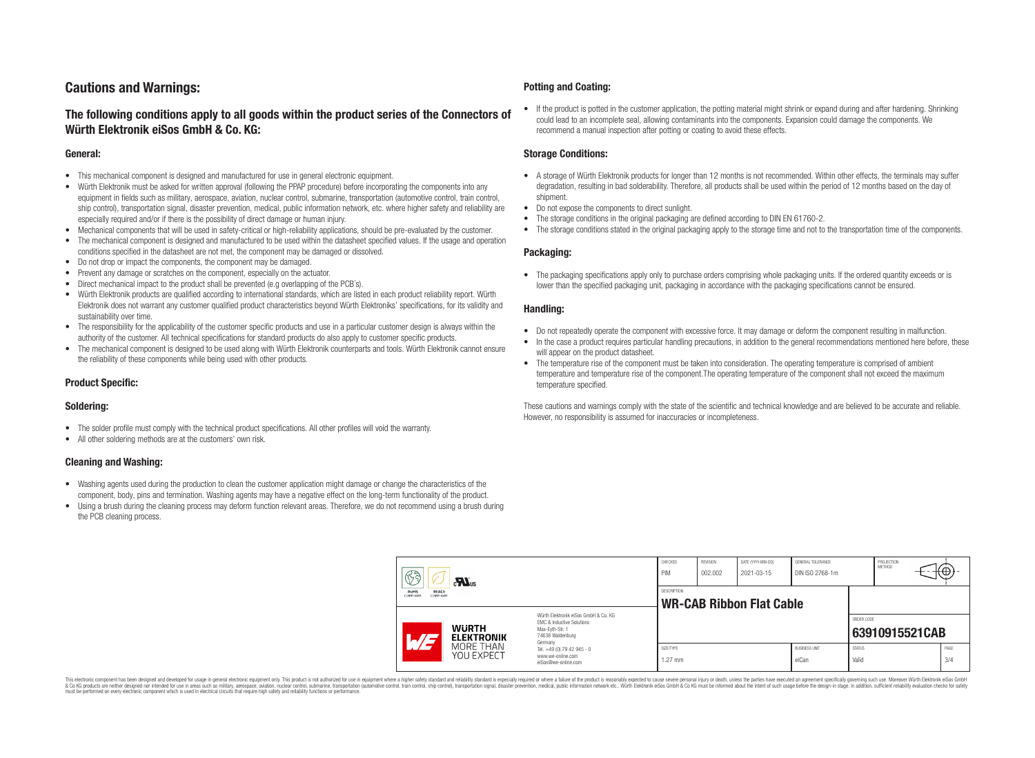## **Cautions and Warnings:**

### **The following conditions apply to all goods within the product series of the Connectors of Würth Elektronik eiSos GmbH & Co. KG:**

#### **General:**

- This mechanical component is designed and manufactured for use in general electronic equipment.
- Würth Elektronik must be asked for written approval (following the PPAP procedure) before incorporating the components into any equipment in fields such as military, aerospace, aviation, nuclear control, submarine, transportation (automotive control, train control, ship control), transportation signal, disaster prevention, medical, public information network, etc. where higher safety and reliability are especially required and/or if there is the possibility of direct damage or human injury.
- Mechanical components that will be used in safety-critical or high-reliability applications, should be pre-evaluated by the customer.
- The mechanical component is designed and manufactured to be used within the datasheet specified values. If the usage and operation conditions specified in the datasheet are not met, the component may be damaged or dissolved.
- Do not drop or impact the components, the component may be damaged.
- Prevent any damage or scratches on the component, especially on the actuator.
- Direct mechanical impact to the product shall be prevented (e.g overlapping of the PCB's).
- Würth Elektronik products are qualified according to international standards, which are listed in each product reliability report. Würth Elektronik does not warrant any customer qualified product characteristics beyond Würth Elektroniks' specifications, for its validity and sustainability over time.
- The responsibility for the applicability of the customer specific products and use in a particular customer design is always within the authority of the customer. All technical specifications for standard products do also apply to customer specific products.
- The mechanical component is designed to be used along with Würth Elektronik counterparts and tools. Würth Elektronik cannot ensure the reliability of these components while being used with other products.

#### **Product Specific:**

#### **Soldering:**

- The solder profile must comply with the technical product specifications. All other profiles will void the warranty.
- All other soldering methods are at the customers' own risk.

#### **Cleaning and Washing:**

- Washing agents used during the production to clean the customer application might damage or change the characteristics of the component, body, pins and termination. Washing agents may have a negative effect on the long-term functionality of the product.
- Using a brush during the cleaning process may deform function relevant areas. Therefore, we do not recommend using a brush during the PCB cleaning process.

#### **Potting and Coating:**

• If the product is potted in the customer application, the potting material might shrink or expand during and after hardening. Shrinking could lead to an incomplete seal, allowing contaminants into the components. Expansion could damage the components. We recommend a manual inspection after potting or coating to avoid these effects.

#### **Storage Conditions:**

- A storage of Würth Elektronik products for longer than 12 months is not recommended. Within other effects, the terminals may suffer degradation, resulting in bad solderability. Therefore, all products shall be used within the period of 12 months based on the day of shipment.
- Do not expose the components to direct sunlight.
- The storage conditions in the original packaging are defined according to DIN EN 61760-2.
- The storage conditions stated in the original packaging apply to the storage time and not to the transportation time of the components.

#### **Packaging:**

• The packaging specifications apply only to purchase orders comprising whole packaging units. If the ordered quantity exceeds or is lower than the specified packaging unit, packaging in accordance with the packaging specifications cannot be ensured.

#### **Handling:**

- Do not repeatedly operate the component with excessive force. It may damage or deform the component resulting in malfunction.
- In the case a product requires particular handling precautions, in addition to the general recommendations mentioned here before, these will appear on the product datasheet
- The temperature rise of the component must be taken into consideration. The operating temperature is comprised of ambient temperature and temperature rise of the component.The operating temperature of the component shall not exceed the maximum temperature specified.

These cautions and warnings comply with the state of the scientific and technical knowledge and are believed to be accurate and reliable. However, no responsibility is assumed for inaccuracies or incompleteness.

| 63<br>$\mathbf{M}_{\text{us}}$<br><b>RoHS</b><br><b>REACh</b><br><b>COMPLIANT</b><br>COMPLIANT |                                                                                                                                               | CHECKED<br>PiM                                                                    | <b>REVISION</b><br>002.002 | DATE (YYYY-MM-DD)<br>2021-03-15 | GENERAL TOLERANCE<br>DIN ISO 2768-1m |                               | PROJECTION<br><b>METHOD</b> | €⊕∶            |             |  |
|------------------------------------------------------------------------------------------------|-----------------------------------------------------------------------------------------------------------------------------------------------|-----------------------------------------------------------------------------------|----------------------------|---------------------------------|--------------------------------------|-------------------------------|-----------------------------|----------------|-------------|--|
|                                                                                                |                                                                                                                                               | <b>DESCRIPTION</b><br><b>WR-CAB Ribbon Flat Cable</b>                             |                            |                                 |                                      |                               |                             |                |             |  |
| AT                                                                                             | Würth Flektronik eiSos GmbH & Co. KG<br>EMC & Inductive Solutions<br><b>WURTH</b><br>Max-Evth-Str. 1<br>74638 Waldenburg<br><b>ELEKTRONIK</b> |                                                                                   |                            |                                 |                                      |                               | ORDER CODE                  | 63910915521CAB |             |  |
| MORE THAN<br><b>YOU EXPECT</b>                                                                 |                                                                                                                                               | Germany<br>Tel. +49 (0) 79 42 945 - 0<br>www.we-online.com<br>eiSos@we-online.com |                            |                                 |                                      | <b>BUSINESS UNIT</b><br>eiCan | <b>STATUS</b><br>Valid      |                | PAGE<br>3/4 |  |

This electronic component has been designed and developed for usage in general electronic equipment only. This product is not authorized for use in equipment where a higher safety standard and reliability standard si espec & Ook product a label and the membed of the seasuch as marked and as which such a membed and the such assume that income in the seasuch and the simulation and the such assume that include to the such a membed and the such